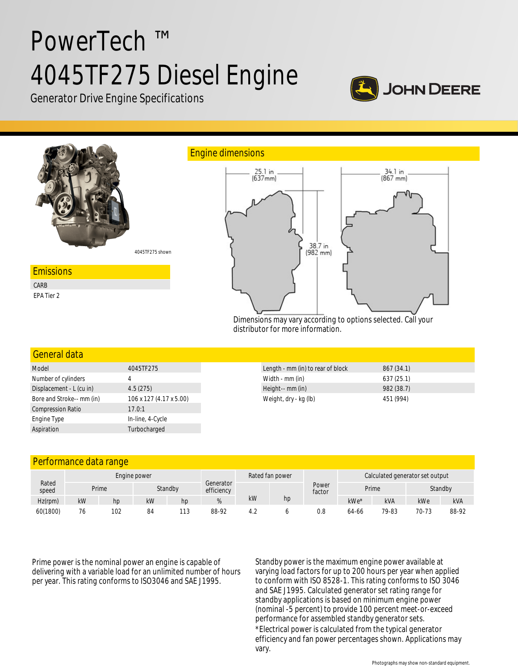# PowerTech ™ 4045TF275 Diesel Engine



Generator Drive Engine Specifications



## General data

| Model                     | 4045TF275               |  |  |  |  |
|---------------------------|-------------------------|--|--|--|--|
| Number of cylinders       | 4                       |  |  |  |  |
| Displacement - L (cu in)  | 4.5(275)                |  |  |  |  |
| Bore and Stroke-- mm (in) | 106 x 127 (4.17 x 5.00) |  |  |  |  |
| <b>Compression Ratio</b>  | 17.0:1                  |  |  |  |  |
| Engine Type               | In-line, 4-Cycle        |  |  |  |  |
| Aspiration                | Turbocharged            |  |  |  |  |

| Length - mm (in) to rear of block | 867 (34.1) |  |
|-----------------------------------|------------|--|
| Width - mm (in)                   | 637(25.1)  |  |
| Height-- mm (in)                  | 982(38.7)  |  |
| Weight, dry - kg (lb)             | 451 (994)  |  |

## Performance data range

|                | Engine power |     |    |         |                         |     | Rated fan power |                 | Calculated generator set output |            |         |            |
|----------------|--------------|-----|----|---------|-------------------------|-----|-----------------|-----------------|---------------------------------|------------|---------|------------|
| Rated<br>speed | Prime        |     |    | Standby | Generator<br>efficiency |     |                 | Power<br>factor | Prime                           |            | Standby |            |
| $Hz$ (rpm)     | kW           | hp  | kW | hp      |                         | kW  | hp              |                 | kWe*                            | <b>kVA</b> | kWe     | <b>kVA</b> |
| 60(1800)       | 76           | 102 | 84 | 113     | 88-92                   | ے.4 |                 | 0.8             | 64-66                           | 79-83      | 70-73   | 88-92      |

Prime power is the nominal power an engine is capable of delivering with a variable load for an unlimited number of hours per year. This rating conforms to ISO3046 and SAE J1995.

Standby power is the maximum engine power available at varying load factors for up to 200 hours per year when applied to conform with ISO 8528-1. This rating conforms to ISO 3046 and SAE J1995. Calculated generator set rating range for standby applications is based on minimum engine power (nominal -5 percent) to provide 100 percent meet-or-exceed performance for assembled standby generator sets. \*Electrical power is calculated from the typical generator efficiency and fan power percentages shown. Applications may vary.